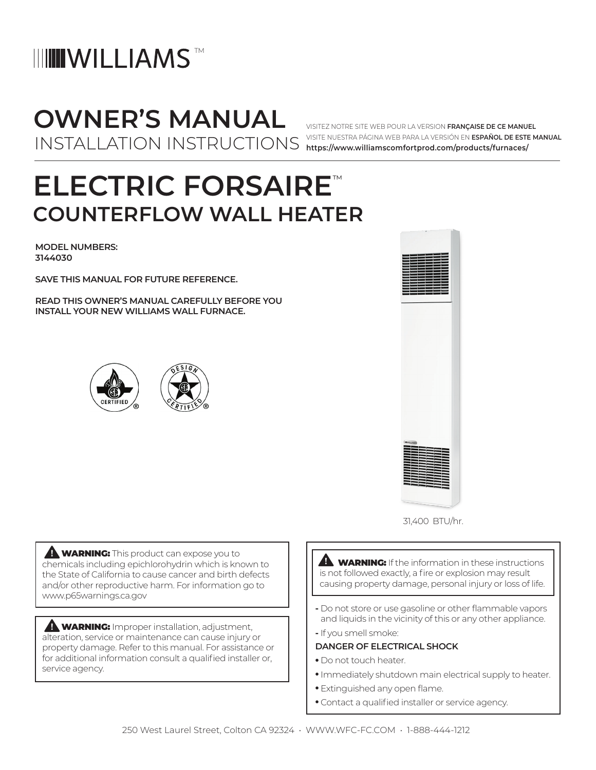## **IIII WILLIAMS**

## **OWNER'S MANUAL** INSTALLATION INSTRUCTIONS

VISITEZ NOTRE SITE WEB POUR LA VERSION **FRANÇAISE DE CE MANUEL** VISITE NUESTRA PÁGINA WEB PARA LA VERSIÓN EN **ESPAÑOL DE ESTE MANUAL https://www.williamscomfortprod.com/products/furnaces/**

## **ELECTRIC FORSAIRE**™ **COUNTERFLOW WALL HEATER**

**MODEL NUMBERS: 3144030**

**SAVE THIS MANUAL FOR FUTURE REFERENCE.**

**READ THIS OWNER'S MANUAL CAREFULLY BEFORE YOU INSTALL YOUR NEW WILLIAMS WALL FURNACE.**







**WARNING:** This product can expose you to chemicals including epichlorohydrin which is known to the State of California to cause cancer and birth defects and/or other reproductive harm. For information go to www.p65warnings.ca.gov

**WARNING:** Improper installation, adjustment, alteration, service or maintenance can cause injury or property damage. Refer to this manual. For assistance or for additional information consult a qualified installer or, service agency.

**A WARNING:** If the information in these instructions is not followed exactly, a fire or explosion may result causing property damage, personal injury or loss of life.

- **-** Do not store or use gasoline or other flammable vapors and liquids in the vicinity of this or any other appliance.
- **-** If you smell smoke:

#### **DANGER OF ELECTRICAL SHOCK**

- Do not touch heater.
- Immediately shutdown main electrical supply to heater.
- Extinguished any open flame.
- Contact a qualified installer or service agency.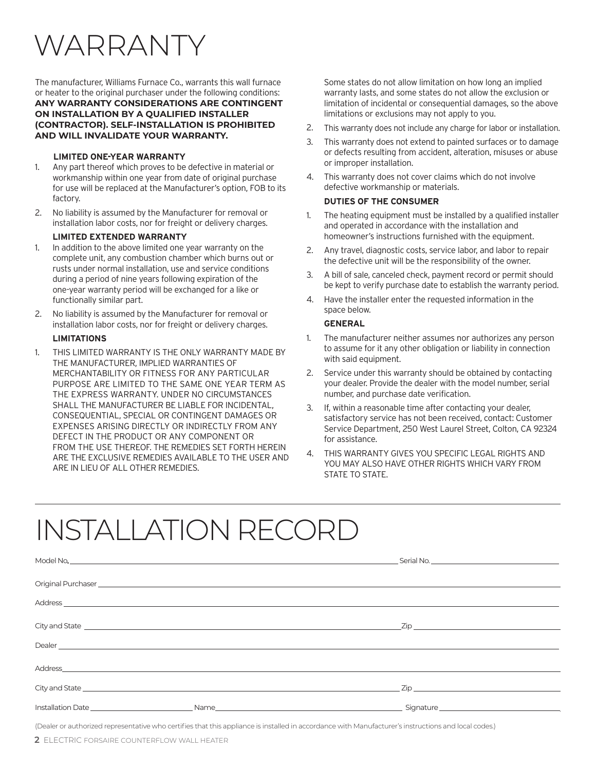# WARRANTY

The manufacturer, Williams Furnace Co., warrants this wall furnace or heater to the original purchaser under the following conditions: **ANY WARRANTY CONSIDERATIONS ARE CONTINGENT ON INSTALLATION BY A QUALIFIED INSTALLER (CONTRACTOR). SELF-INSTALLATION IS PROHIBITED AND WILL INVALIDATE YOUR WARRANTY.**

#### **LIMITED ONE-YEAR WARRANTY**

- 1. Any part thereof which proves to be defective in material or workmanship within one year from date of original purchase for use will be replaced at the Manufacturer's option, FOB to its factory.
- 2. No liability is assumed by the Manufacturer for removal or installation labor costs, nor for freight or delivery charges.

#### **LIMITED EXTENDED WARRANTY**

- 1. In addition to the above limited one year warranty on the complete unit, any combustion chamber which burns out or rusts under normal installation, use and service conditions during a period of nine years following expiration of the one-year warranty period will be exchanged for a like or functionally similar part.
- 2. No liability is assumed by the Manufacturer for removal or installation labor costs, nor for freight or delivery charges.

#### **LIMITATIONS**

1. THIS LIMITED WARRANTY IS THE ONLY WARRANTY MADE BY THE MANUFACTURER, IMPLIED WARRANTIES OF MERCHANTABILITY OR FITNESS FOR ANY PARTICULAR PURPOSE ARE LIMITED TO THE SAME ONE YEAR TERM AS THE EXPRESS WARRANTY. UNDER NO CIRCUMSTANCES SHALL THE MANUFACTURER BE LIABLE FOR INCIDENTAL, CONSEQUENTIAL, SPECIAL OR CONTINGENT DAMAGES OR EXPENSES ARISING DIRECTLY OR INDIRECTLY FROM ANY DEFECT IN THE PRODUCT OR ANY COMPONENT OR FROM THE USE THEREOF. THE REMEDIES SET FORTH HEREIN ARE THE EXCLUSIVE REMEDIES AVAILABLE TO THE USER AND ARE IN LIEU OF ALL OTHER REMEDIES.

Some states do not allow limitation on how long an implied warranty lasts, and some states do not allow the exclusion or limitation of incidental or consequential damages, so the above limitations or exclusions may not apply to you.

- 2. This warranty does not include any charge for labor or installation.
- 3. This warranty does not extend to painted surfaces or to damage or defects resulting from accident, alteration, misuses or abuse or improper installation.
- 4. This warranty does not cover claims which do not involve defective workmanship or materials.

#### **DUTIES OF THE CONSUMER**

- 1. The heating equipment must be installed by a qualified installer and operated in accordance with the installation and homeowner's instructions furnished with the equipment.
- 2. Any travel, diagnostic costs, service labor, and labor to repair the defective unit will be the responsibility of the owner.
- 3. A bill of sale, canceled check, payment record or permit should be kept to verify purchase date to establish the warranty period.
- 4. Have the installer enter the requested information in the space below.

#### **GENERAL**

- 1. The manufacturer neither assumes nor authorizes any person to assume for it any other obligation or liability in connection with said equipment.
- 2. Service under this warranty should be obtained by contacting your dealer. Provide the dealer with the model number, serial number, and purchase date verification.
- 3. If, within a reasonable time after contacting your dealer, satisfactory service has not been received, contact: Customer Service Department, 250 West Laurel Street, Colton, CA 92324 for assistance.
- 4. THIS WARRANTY GIVES YOU SPECIFIC LEGAL RIGHTS AND YOU MAY ALSO HAVE OTHER RIGHTS WHICH VARY FROM STATE TO STATE.

# INSTALLATION RECORD

| Zip and the contract of the contract of the contract of the contract of the contract of the contract of the contract of the contract of the contract of the contract of the contract of the contract of the contract of the co |
|--------------------------------------------------------------------------------------------------------------------------------------------------------------------------------------------------------------------------------|
|                                                                                                                                                                                                                                |
|                                                                                                                                                                                                                                |
| $\mathsf{Zip} \hspace{0.5cm} \longrightarrow$                                                                                                                                                                                  |
| Signature expansion of the state of the state of the state of the state of the state of the state of the state of the state of the state of the state of the state of the state of the state of the state of the state of the  |
|                                                                                                                                                                                                                                |

(Dealer or authorized representative who certifies that this appliance is installed in accordance with Manufacturer's instructions and local codes.)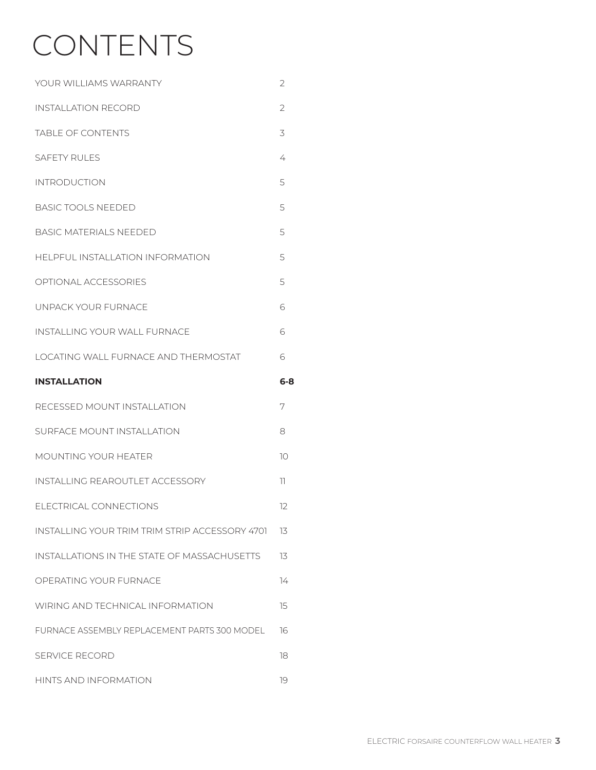# CONTENTS

| YOUR WILLIAMS WARRANTY                         | 2              |
|------------------------------------------------|----------------|
| INSTALLATION RECORD                            | $\overline{2}$ |
| <b>TABLE OF CONTENTS</b>                       | 3              |
| <b>SAFETY RULES</b>                            | 4              |
| <b>INTRODUCTION</b>                            | 5              |
| <b>BASIC TOOLS NEEDED</b>                      | 5              |
| <b>BASIC MATERIALS NEEDED</b>                  | 5              |
| HELPFUL INSTALLATION INFORMATION               | 5              |
| <b>OPTIONAL ACCESSORIES</b>                    | 5              |
| UNPACK YOUR FURNACE                            | 6              |
| <b>INSTALLING YOUR WALL FURNACE</b>            | 6              |
| LOCATING WALL FURNACE AND THERMOSTAT           | 6              |
| <b>INSTALLATION</b>                            | $6 - 8$        |
|                                                |                |
| RECESSED MOUNT INSTALLATION                    | 7              |
| SURFACE MOUNT INSTALLATION                     | 8              |
| <b>MOUNTING YOUR HEATER</b>                    | 10             |
| <b>INSTALLING REAROUTLET ACCESSORY</b>         | 11             |
| ELECTRICAL CONNECTIONS                         | 12             |
| INSTALLING YOUR TRIM TRIM STRIP ACCESSORY 4701 | 13             |
| INSTALLATIONS IN THE STATE OF MASSACHUSETTS    | 13             |
| OPERATING YOUR FURNACE                         | 14             |
| WIRING AND TECHNICAL INFORMATION               | 15             |
| FURNACE ASSEMBLY REPLACEMENT PARTS 300 MODEL   | 16             |
| <b>SERVICE RECORD</b>                          | 18             |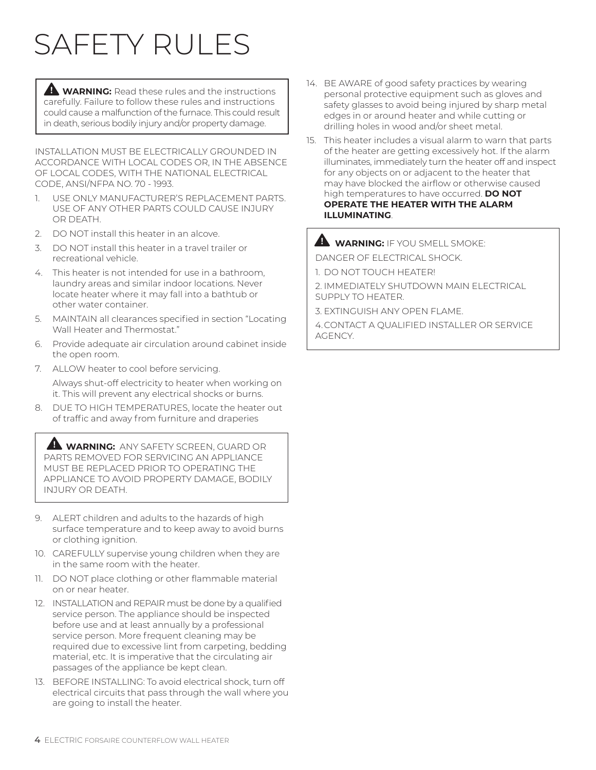# SAFETY RULES

**WARNING:** Read these rules and the instructions carefully. Failure to follow these rules and instructions could cause a malfunction of the furnace. This could result in death, serious bodily injury and/or property damage.

INSTALLATION MUST BE ELECTRICALLY GROUNDED IN ACCORDANCE WITH LOCAL CODES OR, IN THE ABSENCE OF LOCAL CODES, WITH THE NATIONAL ELECTRICAL CODE, ANSI/NFPA NO. 70 - 1993.

- 1. USE ONLY MANUFACTURER'S REPLACEMENT PARTS. USE OF ANY OTHER PARTS COULD CAUSE INJURY OR DEATH.
- 2. DO NOT install this heater in an alcove.
- 3. DO NOT install this heater in a travel trailer or recreational vehicle.
- 4. This heater is not intended for use in a bathroom, laundry areas and similar indoor locations. Never locate heater where it may fall into a bathtub or other water container.
- 5. MAINTAIN all clearances specified in section "Locating Wall Heater and Thermostat."
- 6. Provide adequate air circulation around cabinet inside the open room.
- 7. ALLOW heater to cool before servicing.

Always shut-off electricity to heater when working on it. This will prevent any electrical shocks or burns.

8. DUE TO HIGH TEMPERATURES, locate the heater out of traffic and away from furniture and draperies

 **WARNING:** ANY SAFETY SCREEN, GUARD OR PARTS REMOVED FOR SERVICING AN APPLIANCE MUST BE REPLACED PRIOR TO OPERATING THE APPLIANCE TO AVOID PROPERTY DAMAGE, BODILY INJURY OR DEATH.

- 9. ALERT children and adults to the hazards of high surface temperature and to keep away to avoid burns or clothing ignition.
- 10. CAREFULLY supervise young children when they are in the same room with the heater.
- 11. DO NOT place clothing or other flammable material on or near heater.
- 12. INSTALLATION and REPAIR must be done by a qualified service person. The appliance should be inspected before use and at least annually by a professional service person. More frequent cleaning may be required due to excessive lint from carpeting, bedding material, etc. It is imperative that the circulating air passages of the appliance be kept clean.
- 13. BEFORE INSTALLING: To avoid electrical shock, turn off electrical circuits that pass through the wall where you are going to install the heater.
- 14. BE AWARE of good safety practices by wearing personal protective equipment such as gloves and safety glasses to avoid being injured by sharp metal edges in or around heater and while cutting or drilling holes in wood and/or sheet metal.
- 15. This heater includes a visual alarm to warn that parts of the heater are getting excessively hot. If the alarm illuminates, immediately turn the heater off and inspect for any objects on or adjacent to the heater that may have blocked the airflow or otherwise caused high temperatures to have occurred. **DO NOT OPERATE THE HEATER WITH THE ALARM ILLUMINATING**.

#### **WARNING:** IF YOU SMELL SMOKE:

DANGER OF ELECTRICAL SHOCK.

- 1. DO NOT TOUCH HEATER!
- 2. IMMEDIATELY SHUTDOWN MAIN ELECTRICAL SUPPLY TO HEATER.
- 3. EXTINGUISH ANY OPEN FLAME.

4.CONTACT A QUALIFIED INSTALLER OR SERVICE AGENCY.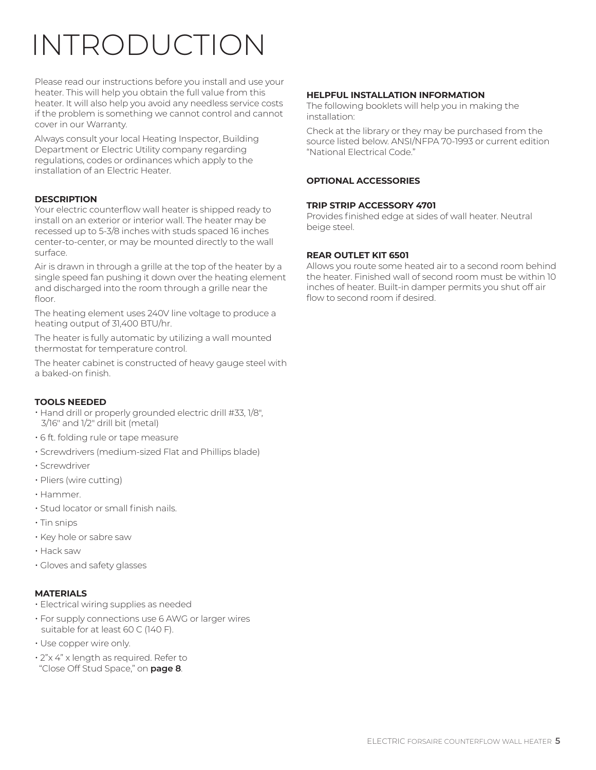# INTRODUCTION

Please read our instructions before you install and use your heater. This will help you obtain the full value from this heater. It will also help you avoid any needless service costs if the problem is something we cannot control and cannot cover in our Warranty.

Always consult your local Heating Inspector, Building Department or Electric Utility company regarding regulations, codes or ordinances which apply to the installation of an Electric Heater.

#### **DESCRIPTION**

Your electric counterflow wall heater is shipped ready to install on an exterior or interior wall. The heater may be recessed up to 5-3/8 inches with studs spaced 16 inches center-to-center, or may be mounted directly to the wall surface.

Air is drawn in through a grille at the top of the heater by a single speed fan pushing it down over the heating element and discharged into the room through a grille near the floor.

The heating element uses 240V line voltage to produce a heating output of 31,400 BTU/hr.

The heater is fully automatic by utilizing a wall mounted thermostat for temperature control.

The heater cabinet is constructed of heavy gauge steel with a baked-on finish.

#### **TOOLS NEEDED**

- Hand drill or properly grounded electric drill #33, 1/8", 3/16" and 1/2" drill bit (metal)
- 6 ft. folding rule or tape measure
- Screwdrivers (medium-sized Flat and Phillips blade)
- Screwdriver
- Pliers (wire cutting)
- Hammer.
- Stud locator or small finish nails.
- Tin snips
- Key hole or sabre saw
- Hack saw
- Gloves and safety glasses

#### **MATERIALS**

- Electrical wiring supplies as needed
- For supply connections use 6 AWG or larger wires suitable for at least 60 C (140 F).
- Use copper wire only.
- 2"x 4" x length as required. Refer to "Close Off Stud Space," on **page 8**.

#### **HELPFUL INSTALLATION INFORMATION**

The following booklets will help you in making the installation:

Check at the library or they may be purchased from the source listed below. ANSI/NFPA 70-1993 or current edition "National Electrical Code."

#### **OPTIONAL ACCESSORIES**

#### **TRIP STRIP ACCESSORY 4701**

Provides finished edge at sides of wall heater. Neutral beige steel.

#### **REAR OUTLET KIT 6501**

Allows you route some heated air to a second room behind the heater. Finished wall of second room must be within 10 inches of heater. Built-in damper permits you shut off air flow to second room if desired.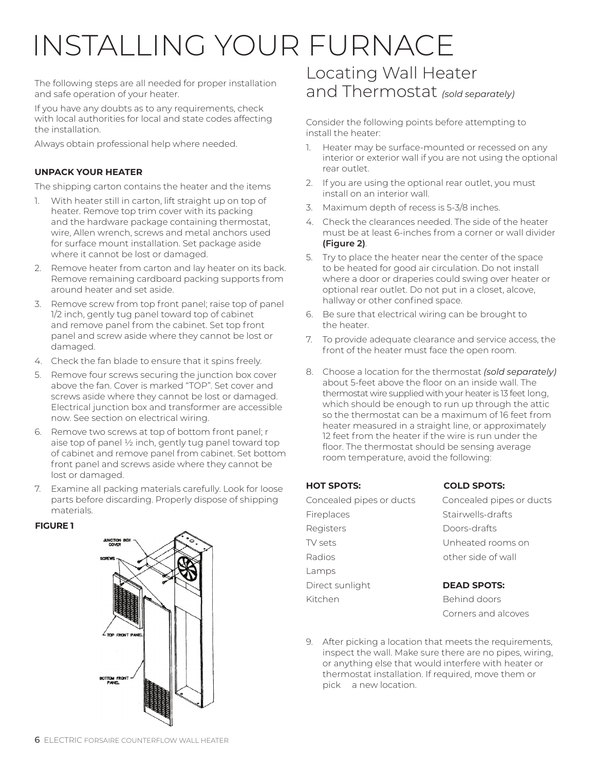# INSTALLING YOUR FURNACE

The following steps are all needed for proper installation and safe operation of your heater.

If you have any doubts as to any requirements, check with local authorities for local and state codes affecting the installation.

Always obtain professional help where needed.

#### **UNPACK YOUR HEATER**

The shipping carton contains the heater and the items

- 1. With heater still in carton, lift straight up on top of heater. Remove top trim cover with its packing and the hardware package containing thermostat, wire, Allen wrench, screws and metal anchors used for surface mount installation. Set package aside where it cannot be lost or damaged.
- 2. Remove heater from carton and lay heater on its back. Remove remaining cardboard packing supports from around heater and set aside.
- 3. Remove screw from top front panel; raise top of panel 1/2 inch, gently tug panel toward top of cabinet and remove panel from the cabinet. Set top front panel and screw aside where they cannot be lost or damaged.
- 4. Check the fan blade to ensure that it spins freely.
- 5. Remove four screws securing the junction box cover above the fan. Cover is marked "TOP". Set cover and screws aside where they cannot be lost or damaged. Electrical junction box and transformer are accessible now. See section on electrical wiring.
- 6. Remove two screws at top of bottom front panel; r aise top of panel ½ inch, gently tug panel toward top of cabinet and remove panel from cabinet. Set bottom front panel and screws aside where they cannot be lost or damaged.
- 7. Examine all packing materials carefully. Look for loose parts before discarding. Properly dispose of shipping materials.

#### **FIGURE 1**



### Locating Wall Heater and Thermostat *(sold separately)*

Consider the following points before attempting to install the heater:

- 1. Heater may be surface-mounted or recessed on any interior or exterior wall if you are not using the optional rear outlet.
- 2. If you are using the optional rear outlet, you must install on an interior wall.
- 3. Maximum depth of recess is 5-3/8 inches.
- 4. Check the clearances needed. The side of the heater must be at least 6-inches from a corner or wall divider **(Figure 2)**.
- 5. Try to place the heater near the center of the space to be heated for good air circulation. Do not install where a door or draperies could swing over heater or optional rear outlet. Do not put in a closet, alcove, hallway or other confined space.
- 6. Be sure that electrical wiring can be brought to the heater.
- 7. To provide adequate clearance and service access, the front of the heater must face the open room.
- 8. Choose a location for the thermostat *(sold separately)* about 5-feet above the floor on an inside wall. The thermostat wire supplied with your heater is 13 feet long, which should be enough to run up through the attic so the thermostat can be a maximum of 16 feet from heater measured in a straight line, or approximately 12 feet from the heater if the wire is run under the floor. The thermostat should be sensing average room temperature, avoid the following:

| <b>HOT SPOTS:</b>        | <b>COLD SPOTS:</b>       |
|--------------------------|--------------------------|
| Concealed pipes or ducts | Concealed pipes or ducts |
| Fireplaces               | Stairwells-drafts        |
| Registers                | Doors-drafts             |
| TV sets                  | Unheated rooms on        |
| Radios                   | other side of wall       |
| Lamps                    |                          |
| Direct sunlight          | <b>DEAD SPOTS:</b>       |
| Kitchen                  | Behind doors             |
|                          | Corners and alcoves      |

9. After picking a location that meets the requirements, inspect the wall. Make sure there are no pipes, wiring, or anything else that would interfere with heater or thermostat installation. If required, move them or pick a new location.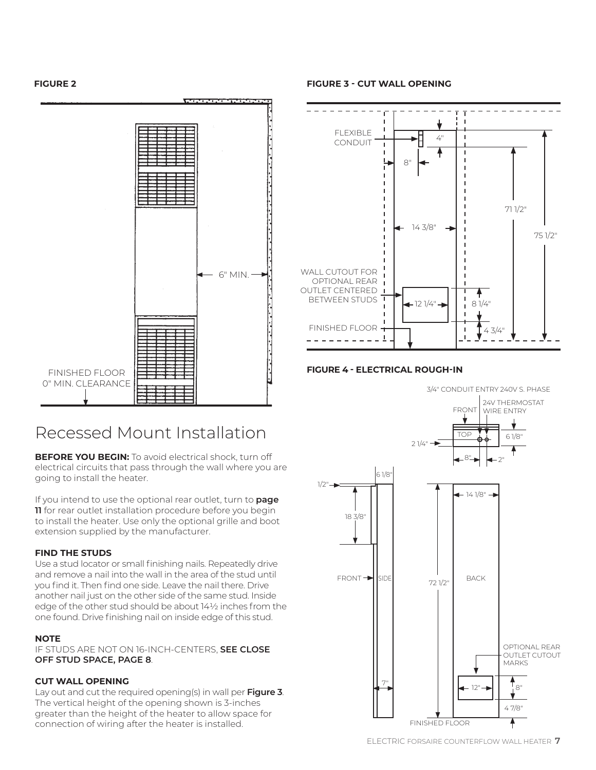**FIGURE 2**



### Recessed Mount Installation

**BEFORE YOU BEGIN:** To avoid electrical shock, turn off electrical circuits that pass through the wall where you are going to install the heater.

If you intend to use the optional rear outlet, turn to **page 11** for rear outlet installation procedure before you begin to install the heater. Use only the optional grille and boot extension supplied by the manufacturer.

#### **FIND THE STUDS**

Use a stud locator or small finishing nails. Repeatedly drive and remove a nail into the wall in the area of the stud until you find it. Then find one side. Leave the nail there. Drive another nail just on the other side of the same stud. Inside edge of the other stud should be about 14½ inches from the one found. Drive finishing nail on inside edge of this stud.

#### **NOTE**

IF STUDS ARE NOT ON 16-INCH-CENTERS, **SEE CLOSE OFF STUD SPACE, PAGE 8**.

#### **CUT WALL OPENING**

Lay out and cut the required opening(s) in wall per **Figure 3**. The vertical height of the opening shown is 3-inches greater than the height of the heater to allow space for connection of wiring after the heater is installed.

**FIGURE 3 - CUT WALL OPENING**



#### **FIGURE 4 - ELECTRICAL ROUGH-IN**

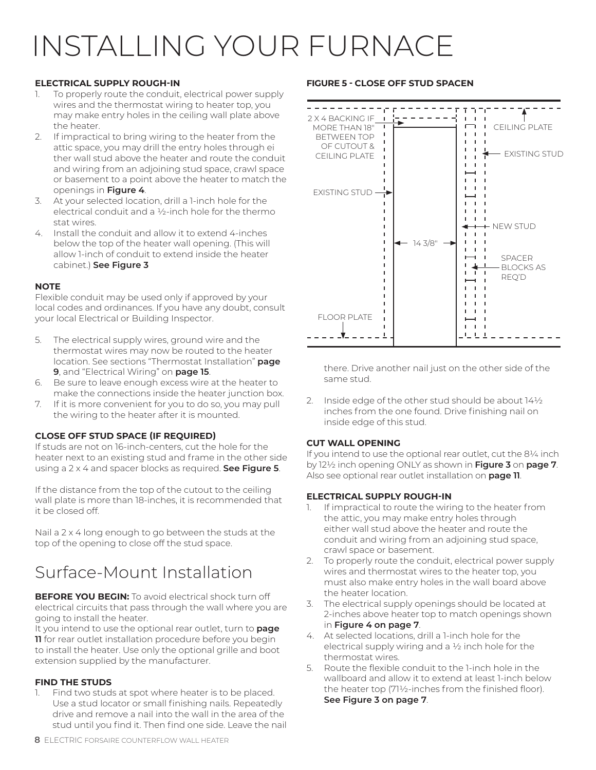# INSTALLING YOUR FURNACE

#### **ELECTRICAL SUPPLY ROUGH-IN**

- 1. To properly route the conduit, electrical power supply wires and the thermostat wiring to heater top, you may make entry holes in the ceiling wall plate above the heater.
- 2. If impractical to bring wiring to the heater from the attic space, you may drill the entry holes through ei ther wall stud above the heater and route the conduit and wiring from an adjoining stud space, crawl space or basement to a point above the heater to match the openings in **Figure 4**.
- 3. At your selected location, drill a 1-inch hole for the electrical conduit and a ½-inch hole for the thermo stat wires.
- 4. Install the conduit and allow it to extend 4-inches below the top of the heater wall opening. (This will allow 1-inch of conduit to extend inside the heater cabinet.) **See Figure 3**

#### **NOTE**

Flexible conduit may be used only if approved by your local codes and ordinances. If you have any doubt, consult your local Electrical or Building Inspector.

- 5. The electrical supply wires, ground wire and the thermostat wires may now be routed to the heater location. See sections "Thermostat Installation" **page 9**, and "Electrical Wiring" on **page 15**.
- 6. Be sure to leave enough excess wire at the heater to make the connections inside the heater junction box.
- 7. If it is more convenient for you to do so, you may pull the wiring to the heater after it is mounted.

#### **CLOSE OFF STUD SPACE (IF REQUIRED)**

If studs are not on 16-inch-centers, cut the hole for the heater next to an existing stud and frame in the other side using a 2 x 4 and spacer blocks as required. **See Figure 5**.

If the distance from the top of the cutout to the ceiling wall plate is more than 18-inches, it is recommended that it be closed off.

Nail a 2 x 4 long enough to go between the studs at the top of the opening to close off the stud space.

### Surface-Mount Installation

**BEFORE YOU BEGIN:** To avoid electrical shock turn off electrical circuits that pass through the wall where you are going to install the heater.

It you intend to use the optional rear outlet, turn to **page 11** for rear outlet installation procedure before you begin to install the heater. Use only the optional grille and boot extension supplied by the manufacturer.

#### **FIND THE STUDS**

Find two studs at spot where heater is to be placed. Use a stud locator or small finishing nails. Repeatedly drive and remove a nail into the wall in the area of the stud until you find it. Then find one side. Leave the nail

#### **FIGURE 5 - CLOSE OFF STUD SPACEN**



there. Drive another nail just on the other side of the same stud.

2. Inside edge of the other stud should be about 14½ inches from the one found. Drive finishing nail on inside edge of this stud.

#### **CUT WALL OPENING**

If you intend to use the optional rear outlet, cut the 81/4 inch by 12½ inch opening ONLY as shown in **Figure 3** on **page 7**. Also see optional rear outlet installation on **page 11**.

#### **ELECTRICAL SUPPLY ROUGH-IN**

- 1. If impractical to route the wiring to the heater from the attic, you may make entry holes through either wall stud above the heater and route the conduit and wiring from an adjoining stud space, crawl space or basement.
- 2. To properly route the conduit, electrical power supply wires and thermostat wires to the heater top, you must also make entry holes in the wall board above the heater location.
- 3. The electrical supply openings should be located at 2-inches above heater top to match openings shown in **Figure 4 on page 7**.
- 4. At selected locations, drill a 1-inch hole for the electrical supply wiring and a  $\frac{1}{2}$  inch hole for the thermostat wires.
- 5. Route the flexible conduit to the 1-inch hole in the wallboard and allow it to extend at least 1-inch below the heater top (71½-inches from the finished floor). **See Figure 3 on page 7**.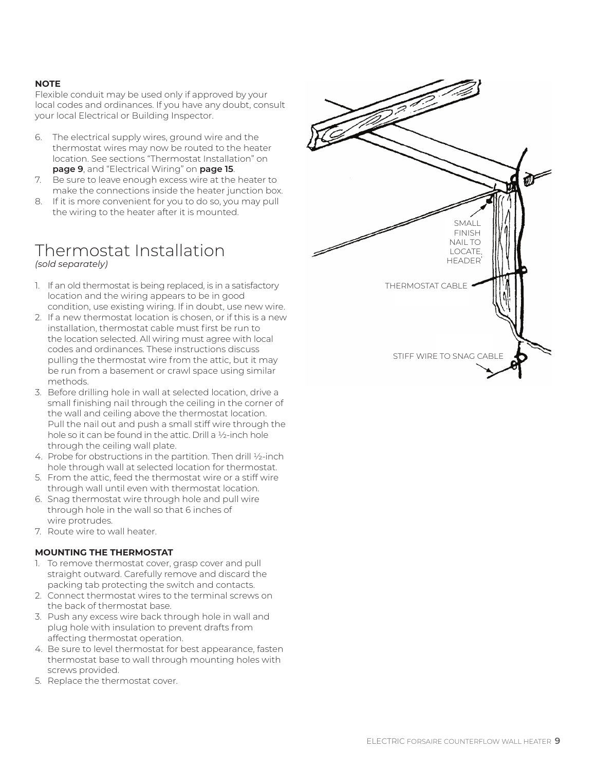#### **NOTE**

Flexible conduit may be used only if approved by your local codes and ordinances. If you have any doubt, consult your local Electrical or Building Inspector.

- 6. The electrical supply wires, ground wire and the thermostat wires may now be routed to the heater location. See sections "Thermostat Installation" on **page 9**, and "Electrical Wiring" on **page 15**.
- 7. Be sure to leave enough excess wire at the heater to make the connections inside the heater junction box.
- 8. If it is more convenient for you to do so, you may pull the wiring to the heater after it is mounted.

#### Thermostat Installation *(sold separately)*

- 1. If an old thermostat is being replaced, is in a satisfactory location and the wiring appears to be in good condition, use existing wiring. If in doubt, use new wire.
- 2. If a new thermostat location is chosen, or if this is a new installation, thermostat cable must first be run to the location selected. All wiring must agree with local codes and ordinances. These instructions discuss pulling the thermostat wire from the attic, but it may be run from a basement or crawl space using similar methods.
- 3. Before drilling hole in wall at selected location, drive a small finishing nail through the ceiling in the corner of the wall and ceiling above the thermostat location. Pull the nail out and push a small stiff wire through the hole so it can be found in the attic. Drill a ½-inch hole through the ceiling wall plate.
- 4. Probe for obstructions in the partition. Then drill ½-inch hole through wall at selected location for thermostat.
- 5. From the attic, feed the thermostat wire or a stiff wire through wall until even with thermostat location.
- 6. Snag thermostat wire through hole and pull wire through hole in the wall so that 6 inches of wire protrudes.
- 7. Route wire to wall heater.

#### **MOUNTING THE THERMOSTAT**

- 1. To remove thermostat cover, grasp cover and pull straight outward. Carefully remove and discard the packing tab protecting the switch and contacts.
- 2. Connect thermostat wires to the terminal screws on the back of thermostat base.
- 3. Push any excess wire back through hole in wall and plug hole with insulation to prevent drafts from affecting thermostat operation.
- 4. Be sure to level thermostat for best appearance, fasten thermostat base to wall through mounting holes with screws provided.
- 5. Replace the thermostat cover.

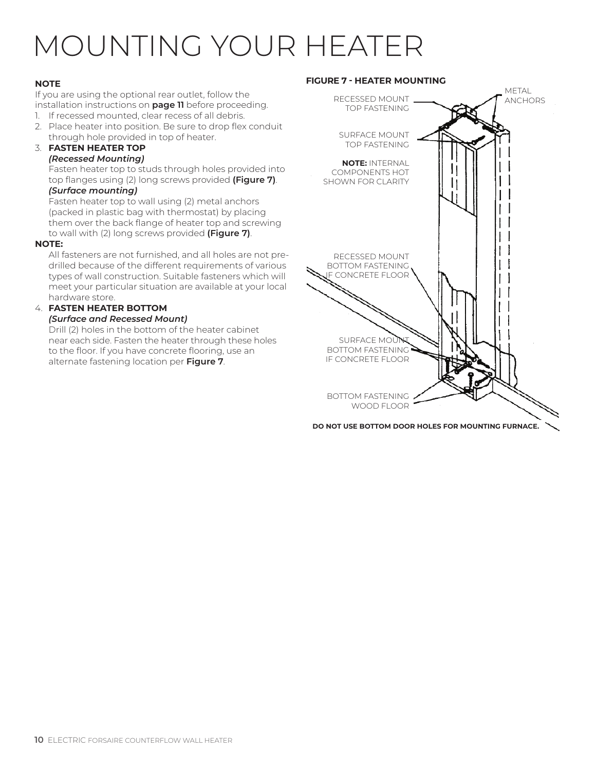# MOUNTING YOUR HEATER

#### **NOTE**

If you are using the optional rear outlet, follow the installation instructions on **page 11** before proceeding.

- 1. If recessed mounted, clear recess of all debris.
- 2. Place heater into position. Be sure to drop flex conduit through hole provided in top of heater.

#### 3. **FASTEN HEATER TOP** *(Recessed Mounting)*

Fasten heater top to studs through holes provided into top flanges using (2) long screws provided **(Figure 7)**.

#### *(Surface mounting)*

Fasten heater top to wall using (2) metal anchors (packed in plastic bag with thermostat) by placing them over the back flange of heater top and screwing to wall with (2) long screws provided **(Figure 7)**.

#### **NOTE:**

All fasteners are not furnished, and all holes are not predrilled because of the different requirements of various types of wall construction. Suitable fasteners which will meet your particular situation are available at your local hardware store.

#### 4. **FASTEN HEATER BOTTOM**

#### *(Surface and Recessed Mount)*

Drill (2) holes in the bottom of the heater cabinet near each side. Fasten the heater through these holes to the floor. If you have concrete flooring, use an alternate fastening location per **Figure 7**.





**DO NOT USE BOTTOM DOOR HOLES FOR MOUNTING FURNACE.**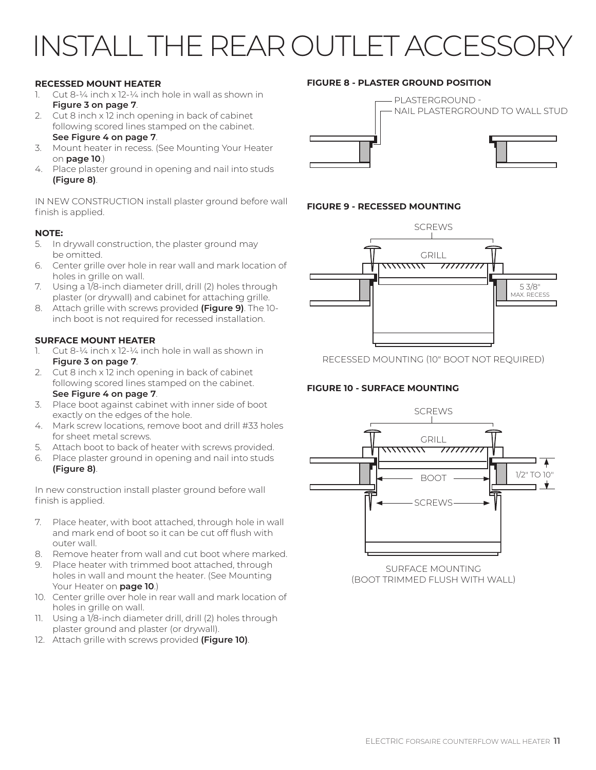# INSTALL THE REAR OUTLET ACCESSOF

#### **RECESSED MOUNT HEATER**

- 1. Cut  $8-\frac{1}{4}$  inch x  $12-\frac{1}{4}$  inch hole in wall as shown in **Figure 3 on page 7**.
- 2. Cut 8 inch x 12 inch opening in back of cabinet following scored lines stamped on the cabinet. **See Figure 4 on page 7**.
- 3. Mount heater in recess. (See Mounting Your Heater on **page 10**.)
- 4. Place plaster ground in opening and nail into studs **(Figure 8)**.

IN NEW CONSTRUCTION install plaster ground before wall finish is applied.

#### **NOTE:**

- 5. In drywall construction, the plaster ground may be omitted.
- 6. Center grille over hole in rear wall and mark location of holes in grille on wall.
- 7. Using a 1/8-inch diameter drill, drill (2) holes through plaster (or drywall) and cabinet for attaching grille.
- 8. Attach grille with screws provided **(Figure 9)**. The 10 inch boot is not required for recessed installation.

#### **SURFACE MOUNT HEATER**

- 1. Cut 8- $\frac{1}{4}$  inch x 12- $\frac{1}{4}$  inch hole in wall as shown in **Figure 3 on page 7**.
- 2. Cut 8 inch x 12 inch opening in back of cabinet following scored lines stamped on the cabinet. **See Figure 4 on page 7**.
- 3. Place boot against cabinet with inner side of boot exactly on the edges of the hole.
- 4. Mark screw locations, remove boot and drill #33 holes for sheet metal screws.
- 5. Attach boot to back of heater with screws provided.
- 6. Place plaster ground in opening and nail into studs **(Figure 8)**.

In new construction install plaster ground before wall finish is applied.

- 7. Place heater, with boot attached, through hole in wall and mark end of boot so it can be cut off flush with outer wall.
- 8. Remove heater from wall and cut boot where marked.
- Place heater with trimmed boot attached, through holes in wall and mount the heater. (See Mounting Your Heater on **page 10**.)
- 10. Center grille over hole in rear wall and mark location of holes in grille on wall.
- 11. Using a 1/8-inch diameter drill, drill (2) holes through plaster ground and plaster (or drywall).
- 12. Attach grille with screws provided **(Figure 10)**.

#### **FIGURE 8 - PLASTER GROUND POSITION**



#### **FIGURE 9 - RECESSED MOUNTING**



RECESSED MOUNTING (10" BOOT NOT REQUIRED)

#### **FIGURE 10 - SURFACE MOUNTING**



SURFACE MOUNTING (BOOT TRIMMED FLUSH WITH WALL)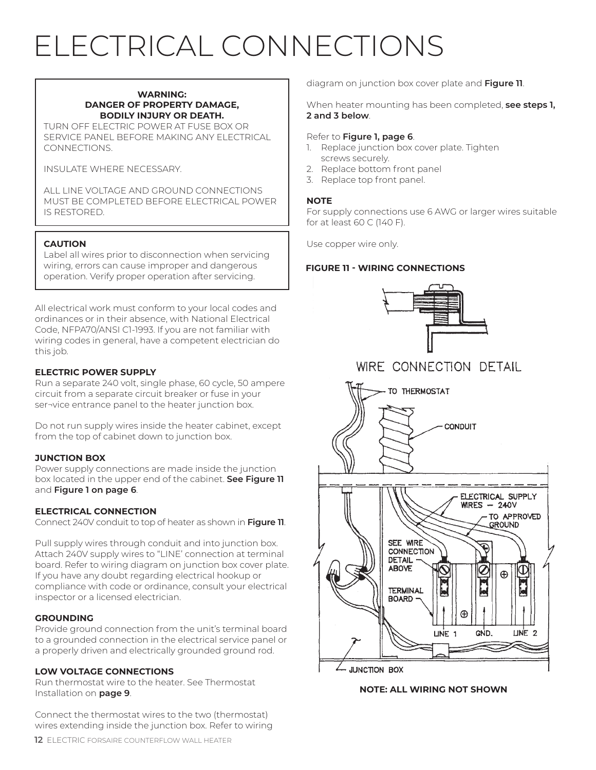# ELECTRICAL CONNECTIONS

#### **WARNING: DANGER OF PROPERTY DAMAGE, BODILY INJURY OR DEATH.**

TURN OFF ELECTRIC POWER AT FUSE BOX OR SERVICE PANEL BEFORE MAKING ANY ELECTRICAL CONNECTIONS.

INSULATE WHERE NECESSARY.

ALL LINE VOLTAGE AND GROUND CONNECTIONS MUST BE COMPLETED BEFORE ELECTRICAL POWER IS RESTORED.

#### **CAUTION**

Label all wires prior to disconnection when servicing wiring, errors can cause improper and dangerous operation. Verify proper operation after servicing.

All electrical work must conform to your local codes and ordinances or in their absence, with National Electrical Code, NFPA70/ANSI C1-1993. If you are not familiar with wiring codes in general, have a competent electrician do this job.

#### **ELECTRIC POWER SUPPLY**

Run a separate 240 volt, single phase, 60 cycle, 50 ampere circuit from a separate circuit breaker or fuse in your ser¬vice entrance panel to the heater junction box.

Do not run supply wires inside the heater cabinet, except from the top of cabinet down to junction box.

#### **JUNCTION BOX**

Power supply connections are made inside the junction box located in the upper end of the cabinet. **See Figure 11** and **Figure 1 on page 6**.

#### **ELECTRICAL CONNECTION**

Connect 240V conduit to top of heater as shown in **Figure 11**.

Pull supply wires through conduit and into junction box. Attach 240V supply wires to "LINE' connection at terminal board. Refer to wiring diagram on junction box cover plate. If you have any doubt regarding electrical hookup or compliance with code or ordinance, consult your electrical inspector or a licensed electrician.

#### **GROUNDING**

Provide ground connection from the unit's terminal board to a grounded connection in the electrical service panel or a properly driven and electrically grounded ground rod.

#### **LOW VOLTAGE CONNECTIONS**

Run thermostat wire to the heater. See Thermostat Installation on **page 9**.

Connect the thermostat wires to the two (thermostat) wires extending inside the junction box. Refer to wiring diagram on junction box cover plate and **Figure 11**.

When heater mounting has been completed, **see steps 1, 2 and 3 below**.

#### Refer to **Figure 1, page 6**.

- 1. Replace junction box cover plate. Tighten screws securely.
- 2. Replace bottom front panel
- 3. Replace top front panel.

#### **NOTE**

For supply connections use 6 AWG or larger wires suitable for at least 60 C (140 F).

Use copper wire only.

#### **FIGURE 11 - WIRING CONNECTIONS**



#### WIRE CONNECTION DETAIL



**NOTE: ALL WIRING NOT SHOWN**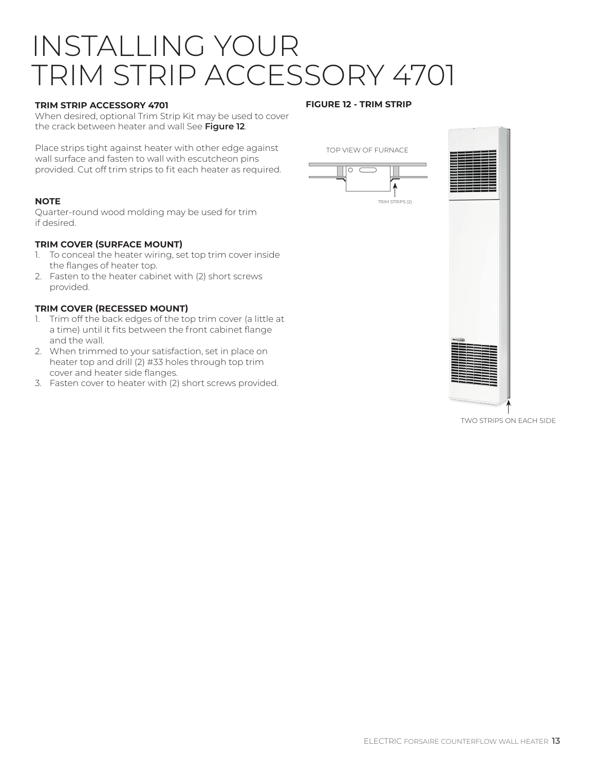## INSTALLING YOUR TRIM STRIP ACCESSORY 4701

#### **TRIM STRIP ACCESSORY 4701**

When desired, optional Trim Strip Kit may be used to cover the crack between heater and wall See **Figure 12**.

Place strips tight against heater with other edge against wall surface and fasten to wall with escutcheon pins provided. Cut off trim strips to fit each heater as required.

#### **NOTE**

Quarter-round wood molding may be used for trim if desired.

#### **TRIM COVER (SURFACE MOUNT)**

- 1. To conceal the heater wiring, set top trim cover inside the flanges of heater top.
- 2. Fasten to the heater cabinet with (2) short screws provided.

#### **TRIM COVER (RECESSED MOUNT)**

- 1. Trim off the back edges of the top trim cover (a little at a time) until it fits between the front cabinet flange and the wall.
- 2. When trimmed to your satisfaction, set in place on heater top and drill (2) #33 holes through top trim cover and heater side flanges.
- 3. Fasten cover to heater with (2) short screws provided.

#### **FIGURE 12 - TRIM STRIP**

TOP VIEW OF FURNACE





TWO STRIPS ON EACH SIDE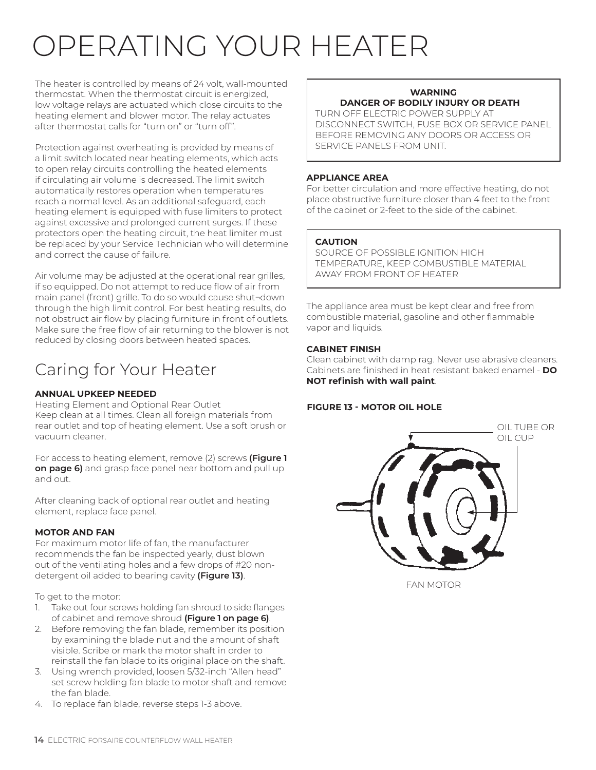# OPERATING YOUR HEATER

The heater is controlled by means of 24 volt, wall-mounted thermostat. When the thermostat circuit is energized, low voltage relays are actuated which close circuits to the heating element and blower motor. The relay actuates after thermostat calls for "turn on" or "turn off".

Protection against overheating is provided by means of a limit switch located near heating elements, which acts to open relay circuits controlling the heated elements if circulating air volume is decreased. The limit switch automatically restores operation when temperatures reach a normal level. As an additional safeguard, each heating element is equipped with fuse limiters to protect against excessive and prolonged current surges. If these protectors open the heating circuit, the heat limiter must be replaced by your Service Technician who will determine and correct the cause of failure.

Air volume may be adjusted at the operational rear grilles, if so equipped. Do not attempt to reduce flow of air from main panel (front) grille. To do so would cause shut¬down through the high limit control. For best heating results, do not obstruct air flow by placing furniture in front of outlets. Make sure the free flow of air returning to the blower is not reduced by closing doors between heated spaces.

## Caring for Your Heater

#### **ANNUAL UPKEEP NEEDED**

Heating Element and Optional Rear Outlet Keep clean at all times. Clean all foreign materials from rear outlet and top of heating element. Use a soft brush or vacuum cleaner.

For access to heating element, remove (2) screws **(Figure 1 on page 6)** and grasp face panel near bottom and pull up and out.

After cleaning back of optional rear outlet and heating element, replace face panel.

#### **MOTOR AND FAN**

For maximum motor life of fan, the manufacturer recommends the fan be inspected yearly, dust blown out of the ventilating holes and a few drops of #20 nondetergent oil added to bearing cavity **(Figure 13)**.

To get to the motor:

- 1. Take out four screws holding fan shroud to side flanges of cabinet and remove shroud **(Figure 1 on page 6)**.
- 2. Before removing the fan blade, remember its position by examining the blade nut and the amount of shaft visible. Scribe or mark the motor shaft in order to reinstall the fan blade to its original place on the shaft.
- 3. Using wrench provided, loosen 5/32-inch "Allen head" set screw holding fan blade to motor shaft and remove the fan blade.
- 4. To replace fan blade, reverse steps 1-3 above.

#### **WARNING DANGER OF BODILY INJURY OR DEATH**

TURN OFF ELECTRIC POWER SUPPLY AT DISCONNECT SWITCH, FUSE BOX OR SERVICE PANEL BEFORE REMOVING ANY DOORS OR ACCESS OR SERVICE PANELS FROM UNIT.

#### **APPLIANCE AREA**

For better circulation and more effective heating, do not place obstructive furniture closer than 4 feet to the front of the cabinet or 2-feet to the side of the cabinet.

#### **CAUTION**

SOURCE OF POSSIBLE IGNITION HIGH TEMPERATURE, KEEP COMBUSTIBLE MATERIAL AWAY FROM FRONT OF HEATER

The appliance area must be kept clear and free from combustible material, gasoline and other flammable vapor and liquids.

#### **CABINET FINISH**

Clean cabinet with damp rag. Never use abrasive cleaners. Cabinets are finished in heat resistant baked enamel - **DO NOT refinish with wall paint**.

#### **FIGURE 13 - MOTOR OIL HOLE**



FAN MOTOR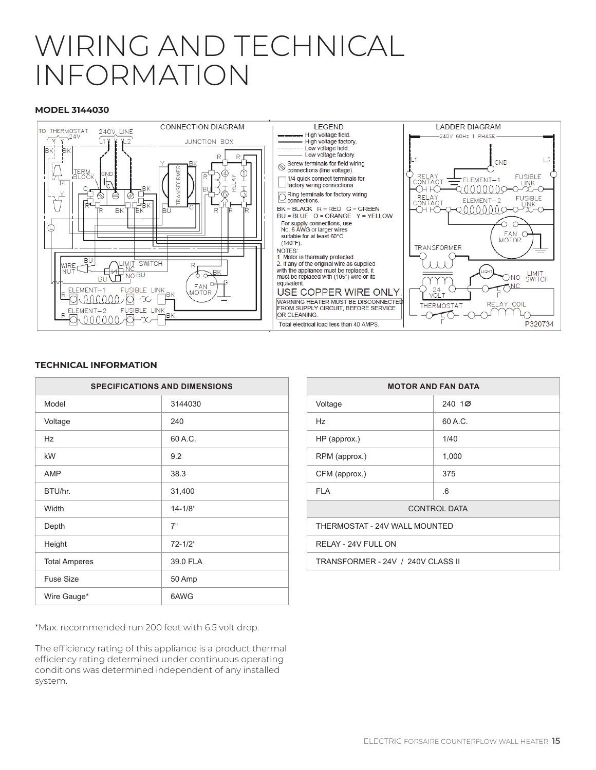## WIRING AND TECHNICAL INFORMATION

#### **MODEL 3144030**



#### **TECHNICAL INFORMATION**

| <b>SPECIFICATIONS AND DIMENSIONS</b> |             |  |
|--------------------------------------|-------------|--|
| Model                                | 3144030     |  |
| Voltage                              | 240         |  |
| Hz                                   | 60 A.C.     |  |
| kW                                   | 9.2         |  |
| <b>AMP</b>                           | 38.3        |  |
| BTU/hr.                              | 31,400      |  |
| Width                                | $14 - 1/8"$ |  |
| Depth                                | 7"          |  |
| Height                               | 72-1/2"     |  |
| <b>Total Amperes</b>                 | 39.0 FLA    |  |
| <b>Fuse Size</b>                     | 50 Amp      |  |
| Wire Gauge*                          | 6AWG        |  |

\*Max. recommended run 200 feet with 6.5 volt drop.

The efficiency rating of this appliance is a product thermal efficiency rating determined under continuous operating conditions was determined independent of any installed system.

| <b>MOTOR AND FAN DATA</b>         |         |  |
|-----------------------------------|---------|--|
| Voltage                           | 240,100 |  |
| Hz.                               | 60 A.C. |  |
| HP (approx.)                      | 1/40    |  |
| RPM (approx.)                     | 1,000   |  |
| CFM (approx.)                     | 375     |  |
| <b>FLA</b>                        | 6       |  |
| <b>CONTROL DATA</b>               |         |  |
| THERMOSTAT - 24V WALL MOUNTED     |         |  |
| RELAY - 24V FULL ON               |         |  |
| TRANSFORMER - 24V / 240V CLASS II |         |  |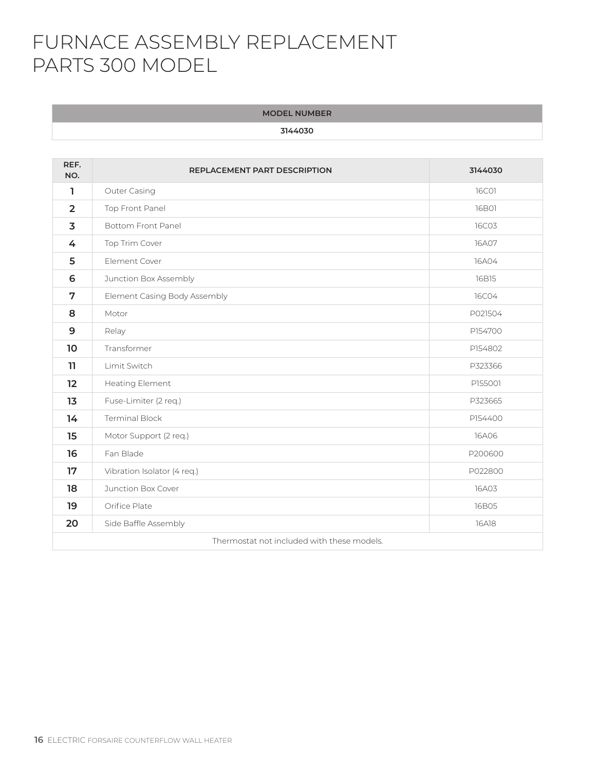## FURNACE ASSEMBLY REPLACEMENT PARTS 300 MODEL

**MODEL NUMBER**

| REF.<br>NO.                                | <b>REPLACEMENT PART DESCRIPTION</b> | 3144030      |
|--------------------------------------------|-------------------------------------|--------------|
| 1                                          | Outer Casing                        | <b>16C01</b> |
| $\overline{2}$                             | Top Front Panel                     | <b>16B01</b> |
| $\overline{\mathbf{3}}$                    | <b>Bottom Front Panel</b>           | <b>16C03</b> |
| 4                                          | Top Trim Cover                      | 16A07        |
| 5                                          | Element Cover                       | 16A04        |
| 6                                          | Junction Box Assembly               | 16B15        |
| 7                                          | Element Casing Body Assembly        | <b>16C04</b> |
| 8                                          | Motor                               | P021504      |
| 9                                          | Relay                               | P154700      |
| 10 <sup>°</sup>                            | Transformer                         | P154802      |
| 11                                         | Limit Switch                        | P323366      |
| $12 \overline{ }$                          | Heating Element                     | P155001      |
| 13                                         | Fuse-Limiter (2 req.)               | P323665      |
| 14                                         | <b>Terminal Block</b>               | P154400      |
| 15                                         | Motor Support (2 req.)              | <b>16A06</b> |
| 16                                         | Fan Blade                           | P200600      |
| 17                                         | Vibration Isolator (4 req.)         | P022800      |
| 18                                         | Junction Box Cover                  | 16A03        |
| 19                                         | Orifice Plate                       | 16B05        |
| 20                                         | Side Baffle Assembly                | <b>16A18</b> |
| Thermostat not included with these models. |                                     |              |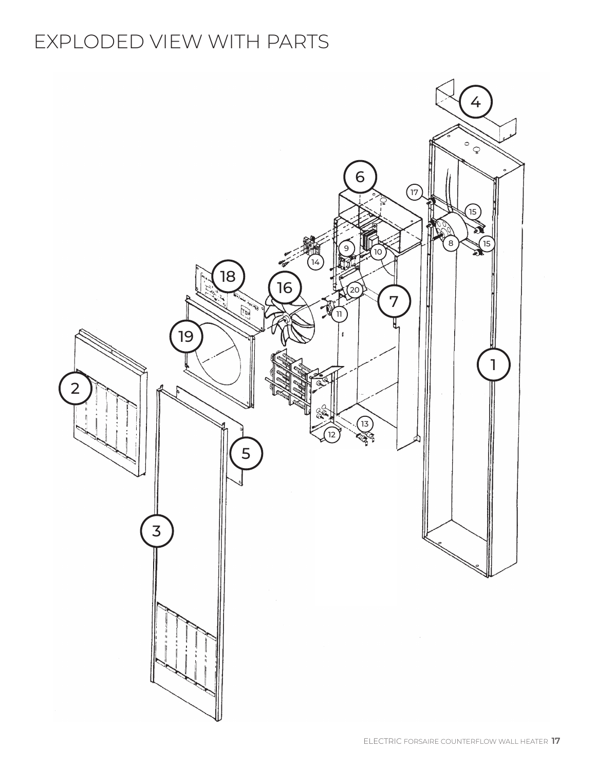## EXPLODED VIEW WITH PARTS

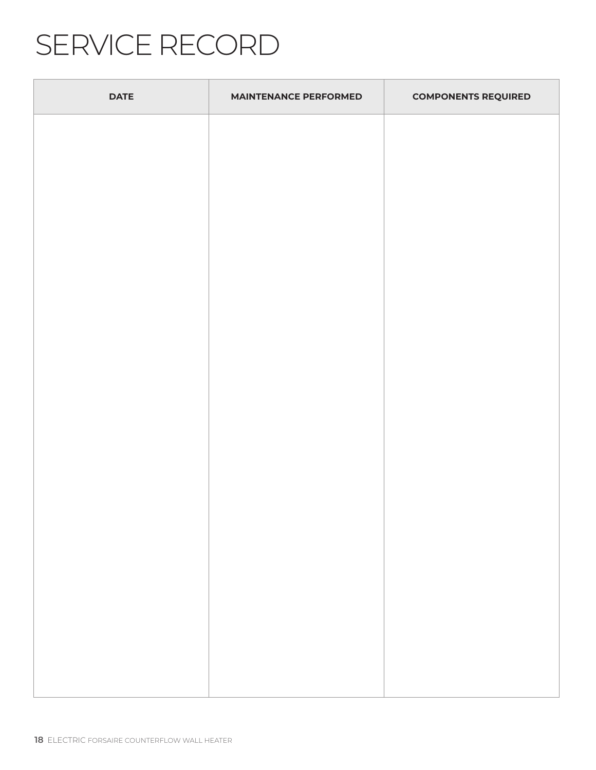# SERVICE RECORD

| <b>DATE</b> | <b>MAINTENANCE PERFORMED</b> | <b>COMPONENTS REQUIRED</b> |
|-------------|------------------------------|----------------------------|
|             |                              |                            |
|             |                              |                            |
|             |                              |                            |
|             |                              |                            |
|             |                              |                            |
|             |                              |                            |
|             |                              |                            |
|             |                              |                            |
|             |                              |                            |
|             |                              |                            |
|             |                              |                            |
|             |                              |                            |
|             |                              |                            |
|             |                              |                            |
|             |                              |                            |
|             |                              |                            |
|             |                              |                            |
|             |                              |                            |
|             |                              |                            |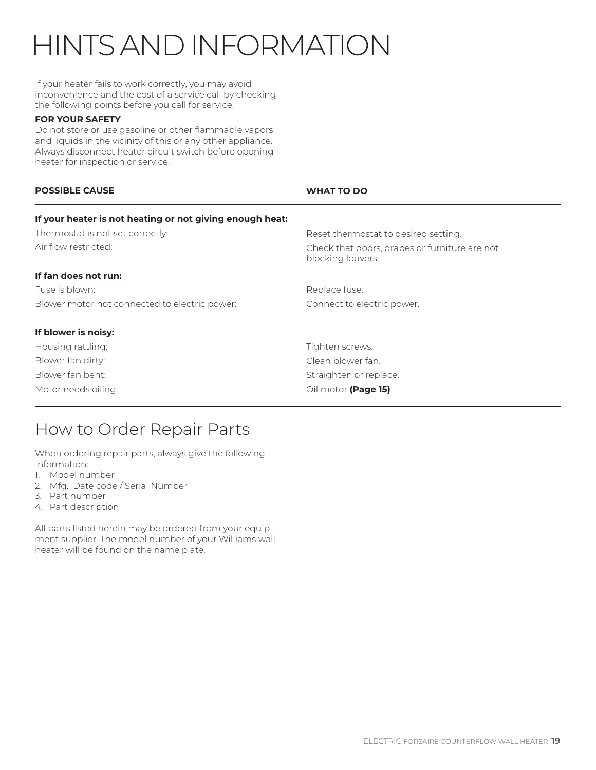# HINTS AND INFORMATION

If your heater fails to work correctly, you may avoid inconvenience and the cost of a service call by checking the following points before you call for service.

#### **FOR YOUR SAFETY**

Do not store or use gasoline or other flammable vapors and liquids in the vicinity of this or any other appliance. Always disconnect heater circuit switch before opening heater for inspection or service.

| <b>POSSIBLE CAUSE</b>                                    | <b>WHAT TO DO</b>                                                  |
|----------------------------------------------------------|--------------------------------------------------------------------|
| If your heater is not heating or not giving enough heat: |                                                                    |
| Thermostat is not set correctly:                         | Reset thermostat to desired setting.                               |
| Air flow restricted:                                     | Check that doors, drapes or furniture are not<br>blocking louvers. |
| If fan does not run:                                     |                                                                    |
| Fuse is blown:                                           | Replace fuse.                                                      |
| Blower motor not connected to electric power:            | Connect to electric power.                                         |
| If blower is noisy:                                      |                                                                    |
| Housing rattling:                                        | Tighten screws.                                                    |
| Blower fan dirty:                                        | Clean blower fan.                                                  |
| Blower fan bent:                                         | Straighten or replace.                                             |
| Motor needs oiling:                                      | Oil motor (Page 15)                                                |

### How to Order Repair Parts

When ordering repair parts, always give the following Information:

- 1. Model number
- 2. Mfg. Date code / Serial Number
- 3. Part number
- 4. Part description

All parts listed herein may be ordered from your equipment supplier. The model number of your Williams wall heater will be found on the name plate.